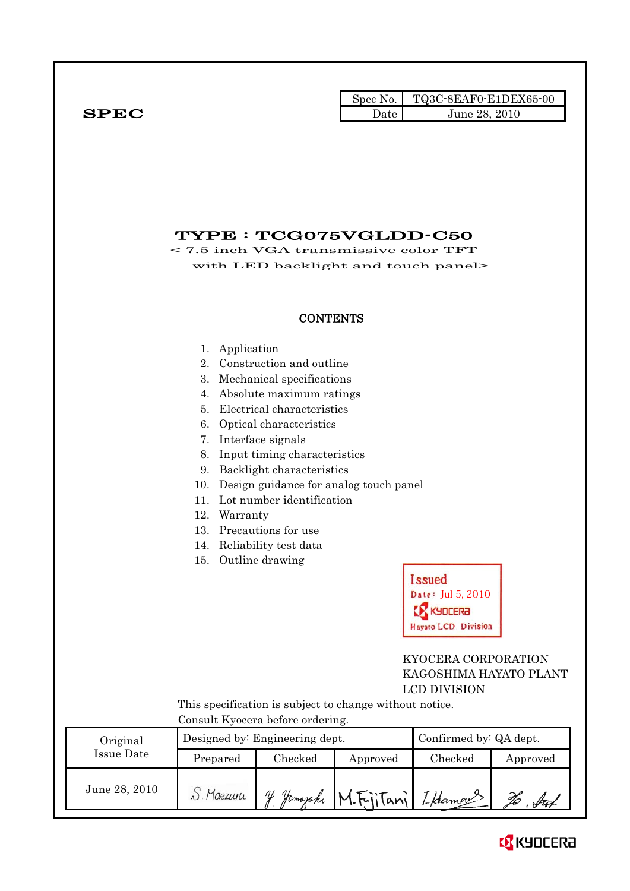|              |      | $\text{Spec No.}$ $\blacksquare$ TQ3C-8EAF0-E1DEX65-00 |
|--------------|------|--------------------------------------------------------|
| ${\bf SPEC}$ | Date | June 28, 2010                                          |

# TYPE : TCG075VGLDD-C50

< 7.5 inch VGA transmissive color TFT with LED backlight and touch panel>

### **CONTENTS**

- 1. Application
- 2. Construction and outline
- 3. Mechanical specifications
- 4. Absolute maximum ratings
- 5. Electrical characteristics
- 6. Optical characteristics
- 7. Interface signals
- 8. Input timing characteristics
- 9. Backlight characteristics
- 10. Design guidance for analog touch panel
- 11. Lot number identification
- 12. Warranty
- 13. Precautions for use
- 14. Reliability test data
- 15. Outline drawing



## KYOCERA CORPORATION KAGOSHIMA HAYATO PLANT LCD DIVISION

 This specification is subject to change without notice. Consult Kyocera before ordering.

| Original      |            | Designed by: Engineering dept. | Confirmed by: QA dept.      |         |               |
|---------------|------------|--------------------------------|-----------------------------|---------|---------------|
| Issue Date    | Prepared   | $\rm Checked$                  | Approved                    | Checked | Approved      |
| June 28, 2010 | S. Maezuru | V                              | Hamazaki M.FijiTani LHamans |         | $\sqrt{4\pi}$ |

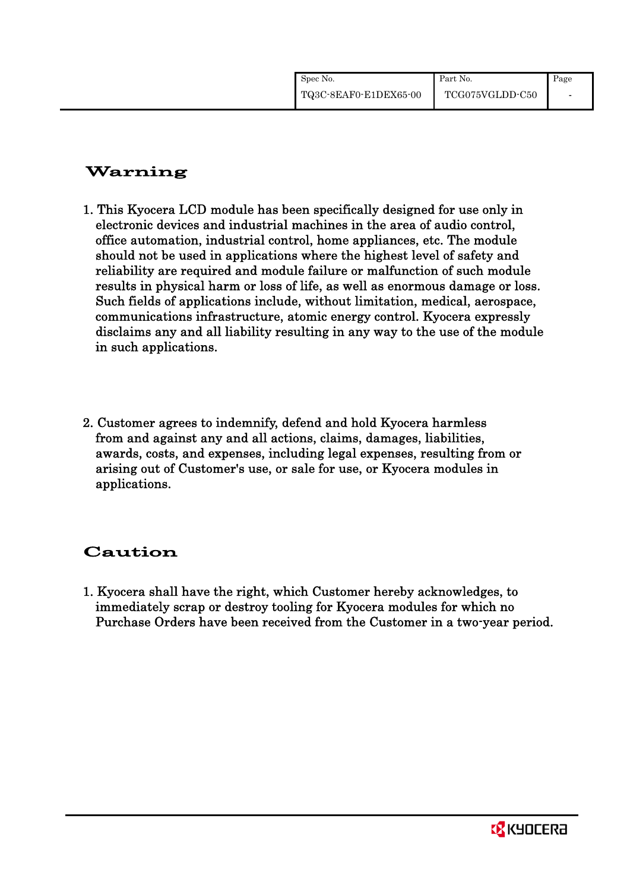| Spec No.              | Part No.        | Page |
|-----------------------|-----------------|------|
| TQ3C-8EAF0-E1DEX65-00 | TCG075VGLDD-C50 |      |

# Warning

- 1. This Kyocera LCD module has been specifically designed for use only in electronic devices and industrial machines in the area of audio control, office automation, industrial control, home appliances, etc. The module should not be used in applications where the highest level of safety and reliability are required and module failure or malfunction of such module results in physical harm or loss of life, as well as enormous damage or loss. Such fields of applications include, without limitation, medical, aerospace, communications infrastructure, atomic energy control. Kyocera expressly disclaims any and all liability resulting in any way to the use of the module in such applications.
- 2. Customer agrees to indemnify, defend and hold Kyocera harmless from and against any and all actions, claims, damages, liabilities, awards, costs, and expenses, including legal expenses, resulting from or arising out of Customer's use, or sale for use, or Kyocera modules in applications.

# Caution

1. Kyocera shall have the right, which Customer hereby acknowledges, to immediately scrap or destroy tooling for Kyocera modules for which no Purchase Orders have been received from the Customer in a two-year period.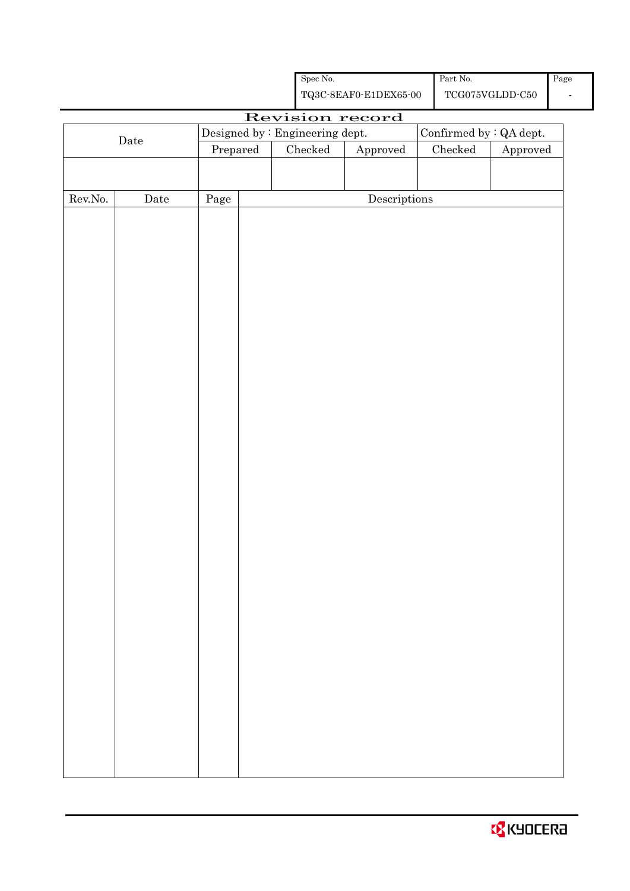|  | <b>B</b> KYOCERA |
|--|------------------|
|  |                  |

|                  |             |          |                 | TQ3C-8EAF0-E1DEX65-00                |               | TCG075VGLDD-C50 |                                 |  |                         |  |
|------------------|-------------|----------|-----------------|--------------------------------------|---------------|-----------------|---------------------------------|--|-------------------------|--|
|                  |             |          | Revision record |                                      |               |                 |                                 |  |                         |  |
|                  | $\rm{Date}$ |          |                 |                                      |               |                 | Designed by : Engineering dept. |  | Confirmed by : QA dept. |  |
|                  |             | Prepared | $\rm Checked$   | ${\Large\bf Approved}$               | $\rm Checked$ | Approved        |                                 |  |                         |  |
|                  |             |          |                 |                                      |               |                 |                                 |  |                         |  |
|                  |             |          |                 |                                      |               |                 |                                 |  |                         |  |
| ${\rm Rev. No.}$ | $\rm{Date}$ | Page     |                 | $\label{eq:2} \textbf{Descriptions}$ |               |                 |                                 |  |                         |  |
|                  |             |          |                 |                                      |               |                 |                                 |  |                         |  |
|                  |             |          |                 |                                      |               |                 |                                 |  |                         |  |
|                  |             |          |                 |                                      |               |                 |                                 |  |                         |  |
|                  |             |          |                 |                                      |               |                 |                                 |  |                         |  |
|                  |             |          |                 |                                      |               |                 |                                 |  |                         |  |
|                  |             |          |                 |                                      |               |                 |                                 |  |                         |  |
|                  |             |          |                 |                                      |               |                 |                                 |  |                         |  |
|                  |             |          |                 |                                      |               |                 |                                 |  |                         |  |
|                  |             |          |                 |                                      |               |                 |                                 |  |                         |  |
|                  |             |          |                 |                                      |               |                 |                                 |  |                         |  |
|                  |             |          |                 |                                      |               |                 |                                 |  |                         |  |
|                  |             |          |                 |                                      |               |                 |                                 |  |                         |  |
|                  |             |          |                 |                                      |               |                 |                                 |  |                         |  |
|                  |             |          |                 |                                      |               |                 |                                 |  |                         |  |
|                  |             |          |                 |                                      |               |                 |                                 |  |                         |  |
|                  |             |          |                 |                                      |               |                 |                                 |  |                         |  |
|                  |             |          |                 |                                      |               |                 |                                 |  |                         |  |
|                  |             |          |                 |                                      |               |                 |                                 |  |                         |  |
|                  |             |          |                 |                                      |               |                 |                                 |  |                         |  |
|                  |             |          |                 |                                      |               |                 |                                 |  |                         |  |
|                  |             |          |                 |                                      |               |                 |                                 |  |                         |  |
|                  |             |          |                 |                                      |               |                 |                                 |  |                         |  |
|                  |             |          |                 |                                      |               |                 |                                 |  |                         |  |
|                  |             |          |                 |                                      |               |                 |                                 |  |                         |  |
|                  |             |          |                 |                                      |               |                 |                                 |  |                         |  |
|                  |             |          |                 |                                      |               |                 |                                 |  |                         |  |
|                  |             |          |                 |                                      |               |                 |                                 |  |                         |  |
|                  |             |          |                 |                                      |               |                 |                                 |  |                         |  |
|                  |             |          |                 |                                      |               |                 |                                 |  |                         |  |
|                  |             |          |                 |                                      |               |                 |                                 |  |                         |  |
|                  |             |          |                 |                                      |               |                 |                                 |  |                         |  |
|                  |             |          |                 |                                      |               |                 |                                 |  |                         |  |
|                  |             |          |                 |                                      |               |                 |                                 |  |                         |  |
|                  |             |          |                 |                                      |               |                 |                                 |  |                         |  |
|                  |             |          |                 |                                      |               |                 |                                 |  |                         |  |
|                  |             |          |                 |                                      |               |                 |                                 |  |                         |  |

Spec No.

Part No.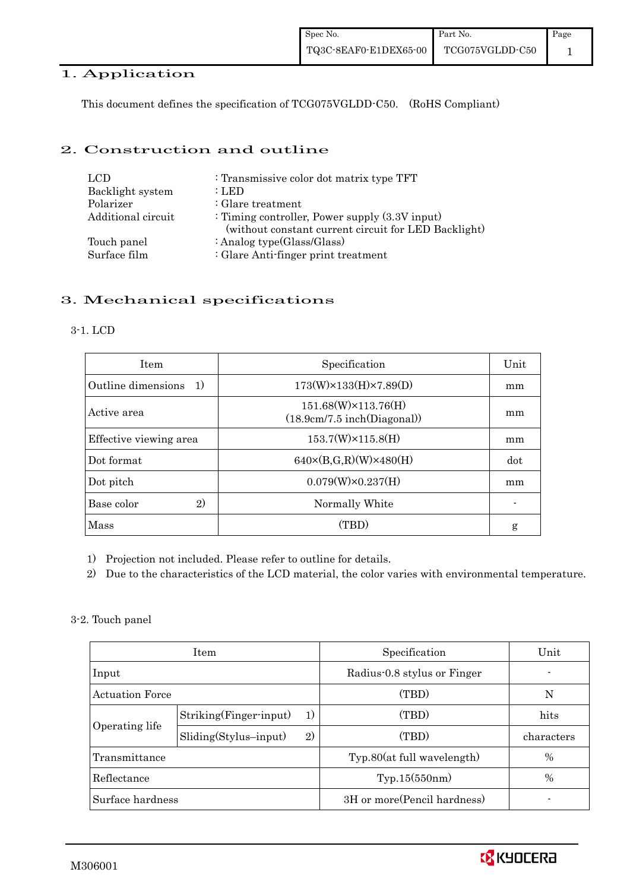## 1. Application

This document defines the specification of TCG075VGLDD-C50. (RoHS Compliant)

## 2. Construction and outline

| LCD                | : Transmissive color dot matrix type TFT                                                                  |
|--------------------|-----------------------------------------------------------------------------------------------------------|
| Backlight system   | : LED                                                                                                     |
| Polarizer          | $\therefore$ Glare treatment                                                                              |
| Additional circuit | : Timing controller, Power supply $(3.3V)$ input)<br>(without constant current circuit for LED Backlight) |
| Touch panel        | : Analog type $(Glass/Glass)$                                                                             |
| Surface film       | : Glare Anti-finger print treatment                                                                       |

## 3. Mechanical specifications

### 3-1. LCD

| <b>Item</b>                | Specification                                      | Unit |
|----------------------------|----------------------------------------------------|------|
| Outline dimensions<br>1)   | $173(W)\times 133(H)\times 7.89(D)$                | mm   |
| Active area                | 151.68(W)×113.76(H)<br>(18.9cm/7.5 inch(Diagonal)) | mm   |
| Effective viewing area     | $153.7(W)\times 115.8(H)$                          | mm   |
| Dot format                 | $640\times(B,G,R)(W)\times480(H)$                  | dot  |
| Dot pitch                  | $0.079(W) \times 0.237(H)$                         | mm   |
| Base color<br>$\mathbf{2}$ | Normally White                                     |      |
| Mass                       | (TBD)                                              | g    |

- 1) Projection not included. Please refer to outline for details.
- 2) Due to the characteristics of the LCD material, the color varies with environmental temperature.
- 3-2. Touch panel

|                        | <b>Item</b>                   | Specification                | Unit       |
|------------------------|-------------------------------|------------------------------|------------|
| Input                  |                               | Radius-0.8 stylus or Finger  |            |
| <b>Actuation Force</b> |                               | (TBD)                        | N          |
|                        | Striking(Finger-input)<br>1)  | (TBD)                        | hits       |
| Operating life         | $Sliding(Stylus-input)$<br>2) | (TBD)                        | characters |
| Transmittance          |                               | Type.80(at full wavelength)  | %          |
| Reflectance            |                               | Typ.15(550nm)                | %          |
| Surface hardness       |                               | 3H or more (Pencil hardness) |            |

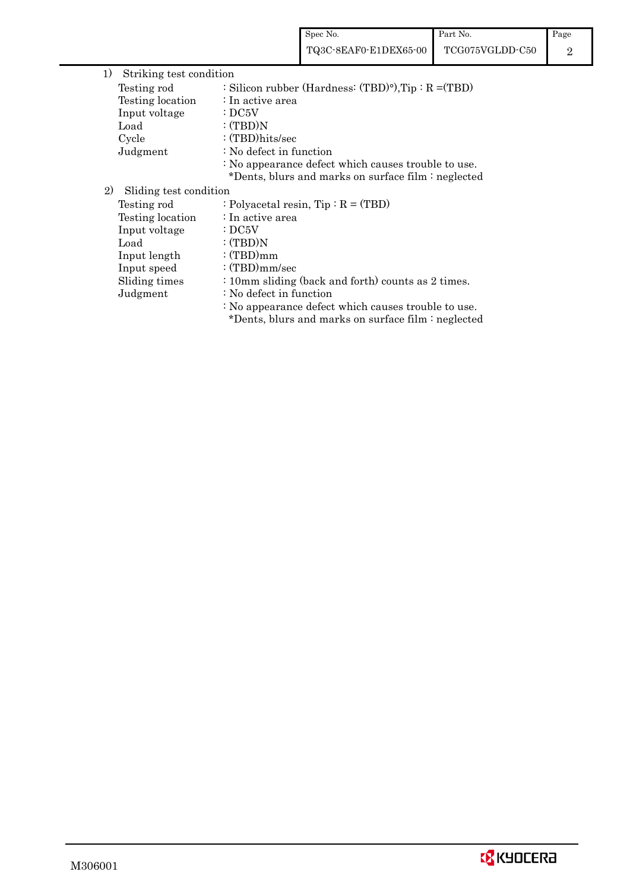| 1)<br>Striking test condition |                                                          |
|-------------------------------|----------------------------------------------------------|
| Testing rod                   | : Silicon rubber (Hardness: $(TBD)°$ ), Tip: $R = (TBD)$ |
| Testing location              | : In active area                                         |
| Input voltage                 | $\cdot$ DC5V                                             |
| Load                          | :(TBD)N                                                  |
| Cycle                         | $:(TBD)$ hits/sec                                        |
| Judgment                      | : No defect in function                                  |
|                               | : No appearance defect which causes trouble to use.      |
|                               | *Dents, blurs and marks on surface film : neglected      |
| 2)<br>Sliding test condition  |                                                          |
| Testing rod                   | : Polyacetal resin, $Tip : R = (TBD)$                    |
| Testing location              | : In active area                                         |
| Input voltage                 | $\cdot$ DC5V                                             |
| Load                          | :(TBD)N                                                  |
| Input length                  | :(TBD)mm                                                 |
| Input speed                   | : $(TBD)mm/sec$                                          |
| Sliding times                 | : 10mm sliding (back and forth) counts as 2 times.       |
| Judgment                      | : No defect in function                                  |
|                               | : No appearance defect which causes trouble to use.      |
|                               | *Dents, blurs and marks on surface film : neglected      |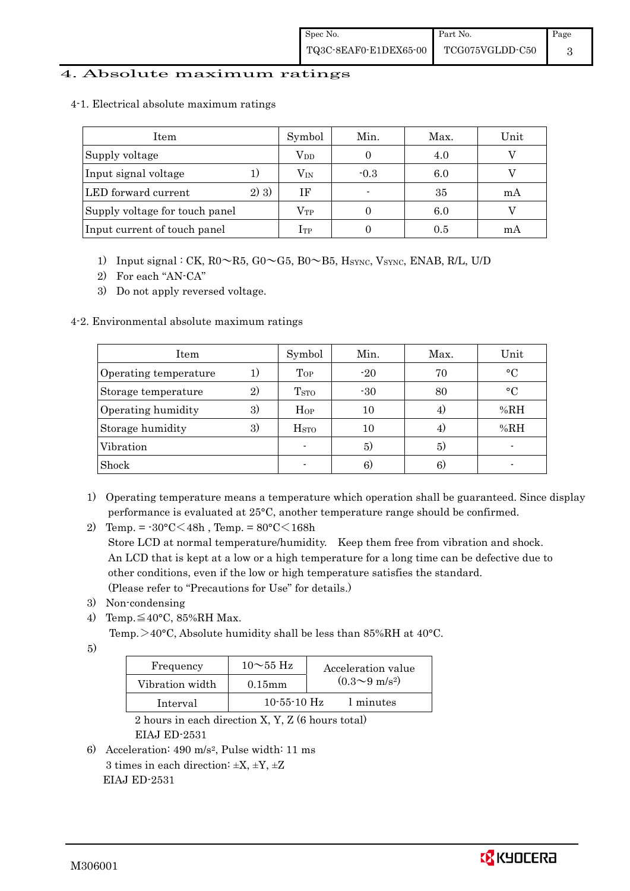### 4. Absolute maximum ratings

|  |  |  | 4-1. Electrical absolute maximum ratings |  |
|--|--|--|------------------------------------------|--|
|--|--|--|------------------------------------------|--|

| Item                           |      | Symbol       | Min.   | Max. | Unit |
|--------------------------------|------|--------------|--------|------|------|
| Supply voltage                 |      | $\rm V_{DD}$ |        | 4.0  |      |
| Input signal voltage           |      | $\rm V_{IN}$ | $-0.3$ | 6.0  |      |
| LED forward current            | 2)3) | ΙF           |        | 35   | mA   |
| Supply voltage for touch panel |      | $\rm V_{TP}$ |        | 6.0  |      |
| Input current of touch panel   |      | $1$ tp       |        | 0.5  | mА   |

- 1) Input signal : CK,  $R0 \sim R5$ ,  $G0 \sim G5$ ,  $B0 \sim B5$ ,  $H_{\text{SYNC}}$ ,  $V_{\text{SYNC}}$ ,  $ENAB$ ,  $R/L$ ,  $U/D$
- 2) For each "AN-CA"
- 3) Do not apply reversed voltage.

### 4-2. Environmental absolute maximum ratings

| Item                  |                   | Symbol                  | Min.  | Max. | Unit      |
|-----------------------|-------------------|-------------------------|-------|------|-----------|
| Operating temperature | 1.                | Top                     | $-20$ | 70   | $\circ$ C |
| Storage temperature   | $\left( 2\right)$ | <b>T</b> <sub>STO</sub> | $-30$ | 80   | $\circ$ C |
| Operating humidity    | 3)                | $H_{OP}$                | 10    |      | % $RH$    |
| Storage humidity      | 3)                | $_{\mathrm{HSTO}}$      | 10    | 4.   | %RH       |
| Vibration             |                   |                         | 5)    | 5)   |           |
| Shock                 |                   |                         | 6)    | 6)   |           |

- 1) Operating temperature means a temperature which operation shall be guaranteed. Since display performance is evaluated at 25°C, another temperature range should be confirmed.
- 2) Temp. =  $-30^{\circ}$ C $<$ 48h, Temp. =  $80^{\circ}$ C $<$ 168h Store LCD at normal temperature/humidity. Keep them free from vibration and shock. An LCD that is kept at a low or a high temperature for a long time can be defective due to other conditions, even if the low or high temperature satisfies the standard. (Please refer to "Precautions for Use" for details.)
- 3) Non-condensing
- 4) Temp. $\leq 40^{\circ}$ C, 85%RH Max.
	- Temp. >40°C, Absolute humidity shall be less than 85%RH at 40°C.
- 5)

| Frequency       | $10\sim\!55~\mathrm{Hz}$ | Acceleration value           |
|-----------------|--------------------------|------------------------------|
| Vibration width | $0.15$ mm                | $(0.3 \sim 9 \text{ m/s}^2)$ |
| Interval        | $10 - 55 - 10$ Hz        | l minutes                    |

 2 hours in each direction X, Y, Z (6 hours total) EIAJ ED-2531

6) Acceleration: 490 m/s2, Pulse width: 11 ms 3 times in each direction:  $\pm X$ ,  $\pm Y$ ,  $\pm Z$ EIAJ ED-2531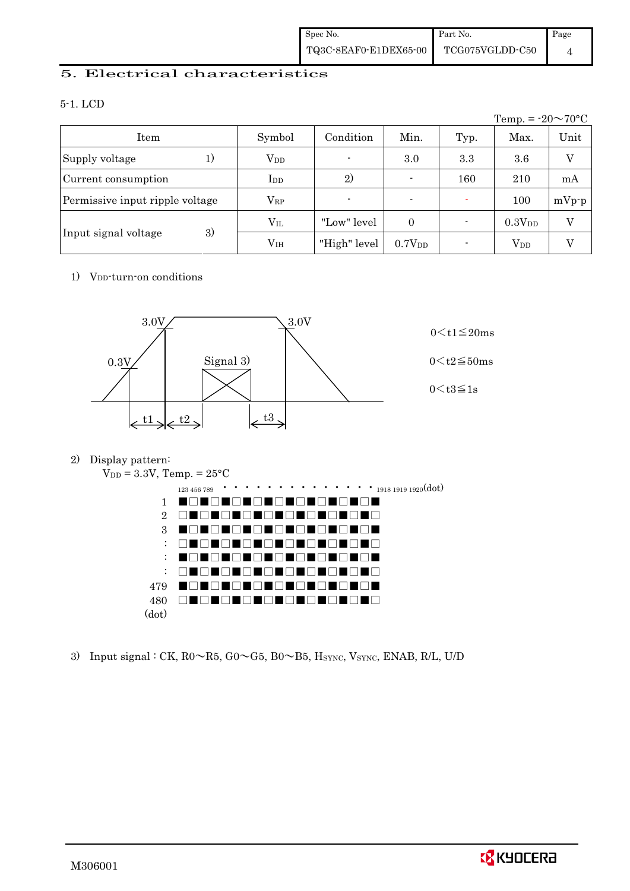### 5. Electrical characteristics

### 5-1. LCD

|                                 |               |                |                          |      | Temp. = $-20 \sim 70$ °C |         |
|---------------------------------|---------------|----------------|--------------------------|------|--------------------------|---------|
| Item                            | Symbol        | Condition      | Min.                     | Typ. | Max.                     | Unit    |
| Supply voltage<br>$_{1}$        | $\rm V_{DD}$  | $\blacksquare$ | 3.0                      | 3.3  | 3.6                      | V       |
| Current consumption             | $_{\rm{LDD}}$ | 2)             |                          | 160  | 210                      | mA      |
| Permissive input ripple voltage | $\rm V_{RP}$  |                | $\overline{\phantom{0}}$ |      | 100                      | $mVp-p$ |
|                                 | $\rm V_{II}$  | "Low" level    | $\overline{0}$           |      | $0.3V_{DD}$              | V       |
| 3)<br>Input signal voltage      | $\rm V_{IH}$  | "High" level   | 0.7V <sub>DD</sub>       |      | $\rm V_{DD}$             |         |

### 1) V<sub>DD</sub>-turn-on conditions



### 2) Display pattern:



3) Input signal : CK,  $R0 \sim R5$ ,  $G0 \sim G5$ ,  $B0 \sim B5$ ,  $H_{\text{SYNC}}$ ,  $V_{\text{SYNC}}$ ,  $ENAB$ ,  $R/L$ ,  $U/D$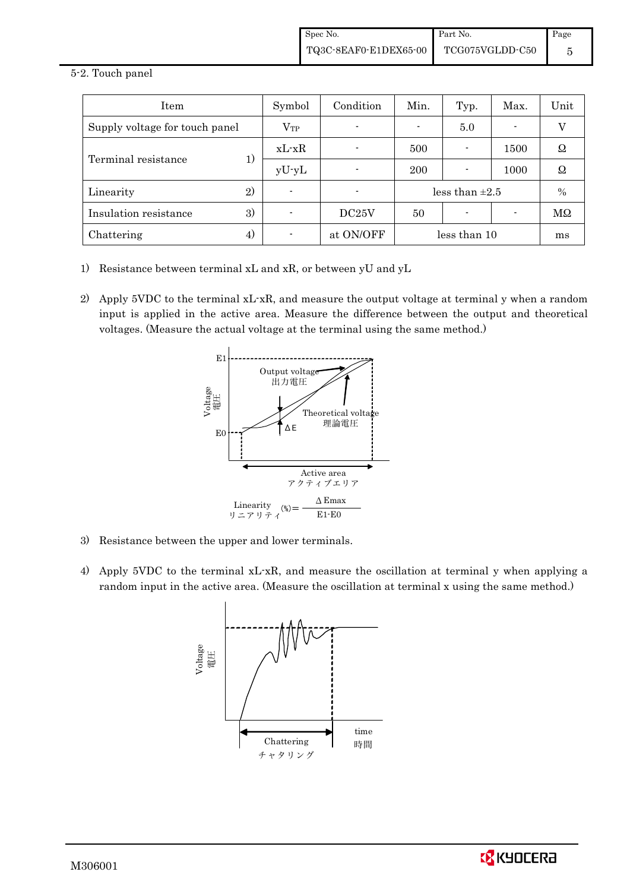#### 5-2. Touch panel

| Item                           | Symbol       | Condition | Min.                | Typ. | Max. | Unit |
|--------------------------------|--------------|-----------|---------------------|------|------|------|
| Supply voltage for touch panel | $\rm V_{TP}$ |           |                     | 5.0  | ۰    | V    |
|                                | $xL-xR$      |           | 500                 |      | 1500 | Ω    |
| Terminal resistance<br>1)      | $yU-yL$      |           | 200                 |      | 1000 | Ω    |
| $\left( 2\right)$<br>Linearity |              |           | less than $\pm 2.5$ |      |      | $\%$ |
| 3)<br>Insulation resistance    |              | DC25V     | 50                  |      |      | MΩ   |
| Chattering<br>4)               |              | at ON/OFF | less than 10        |      |      | ms   |

- 1) Resistance between terminal xL and xR, or between yU and yL
- 2) Apply 5VDC to the terminal xL-xR, and measure the output voltage at terminal y when a random input is applied in the active area. Measure the difference between the output and theoretical voltages. (Measure the actual voltage at the terminal using the same method.)



- 3) Resistance between the upper and lower terminals.
- 4) Apply 5VDC to the terminal xL-xR, and measure the oscillation at terminal y when applying a random input in the active area. (Measure the oscillation at terminal x using the same method.)



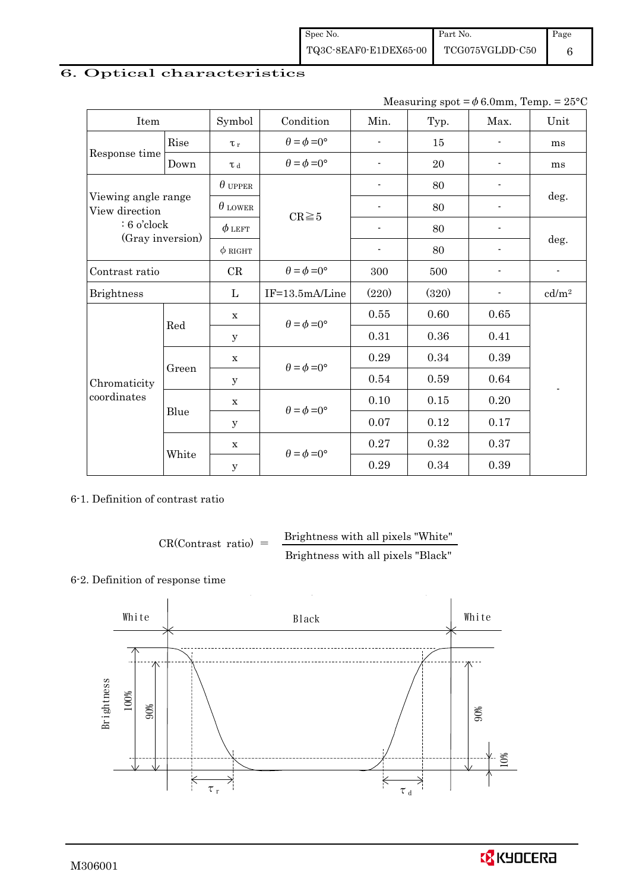# 6. Optical characteristics

| Measuring spot = $\phi$ 6.0mm, Temp. = 25°C |
|---------------------------------------------|
|---------------------------------------------|

| Item                  |                     | Symbol         | Condition                   | Min.                     | Typ.  | Max.           | Unit                     |  |
|-----------------------|---------------------|----------------|-----------------------------|--------------------------|-------|----------------|--------------------------|--|
|                       | Rise                | $\tau_r$       | $\theta = \phi = 0^{\circ}$ | $\blacksquare$           | 15    | $\blacksquare$ | ms                       |  |
| Response time<br>Down |                     | $\tau$ d       | $\theta = \phi = 0^{\circ}$ |                          | 20    |                | ms                       |  |
|                       |                     | $\theta$ upper |                             | $\overline{\phantom{a}}$ | 80    |                |                          |  |
| View direction        | Viewing angle range |                | $CR \ge 5$                  |                          | 80    |                | deg.                     |  |
| $: 6$ o'clock         |                     | $\phi$ left    |                             |                          | 80    |                |                          |  |
| (Gray inversion)      |                     | $\phi$ RIGHT   |                             | $\overline{\phantom{a}}$ | 80    | $\blacksquare$ | deg.                     |  |
| Contrast ratio        |                     | CR             | $\theta = \phi = 0^{\circ}$ | 300                      | 500   |                | $\overline{\phantom{m}}$ |  |
| <b>Brightness</b>     |                     | L              | IF=13.5mA/Line              | (220)                    | (320) |                | cd/m <sup>2</sup>        |  |
|                       |                     | $\mathbf X$    | $\theta = \phi = 0^{\circ}$ | 0.55                     | 0.60  | 0.65           |                          |  |
|                       | Red                 | У              |                             | 0.31                     | 0.36  | 0.41           |                          |  |
|                       | Green               | $\mathbf X$    | $\theta = \phi = 0^{\circ}$ | 0.29                     | 0.34  | 0.39           |                          |  |
| Chromaticity          |                     | У              |                             | 0.54                     | 0.59  | 0.64           |                          |  |
| coordinates           |                     | $\mathbf X$    | $\theta = \phi = 0^{\circ}$ | 0.10                     | 0.15  | 0.20           |                          |  |
|                       | Blue                | У              |                             | 0.07                     | 0.12  | 0.17           |                          |  |
|                       |                     | $\mathbf X$    | $\theta = \phi = 0^{\circ}$ | 0.27                     | 0.32  | 0.37           |                          |  |
|                       | White               | $\mathbf y$    |                             | 0.29                     | 0.34  | 0.39           |                          |  |

6-1. Definition of contrast ratio

$$
CR(Contrast ratio) = \frac{Brightness with all pixels "White" }{Brightness with all pixels "Black" }
$$

## 6-2. Definition of response time

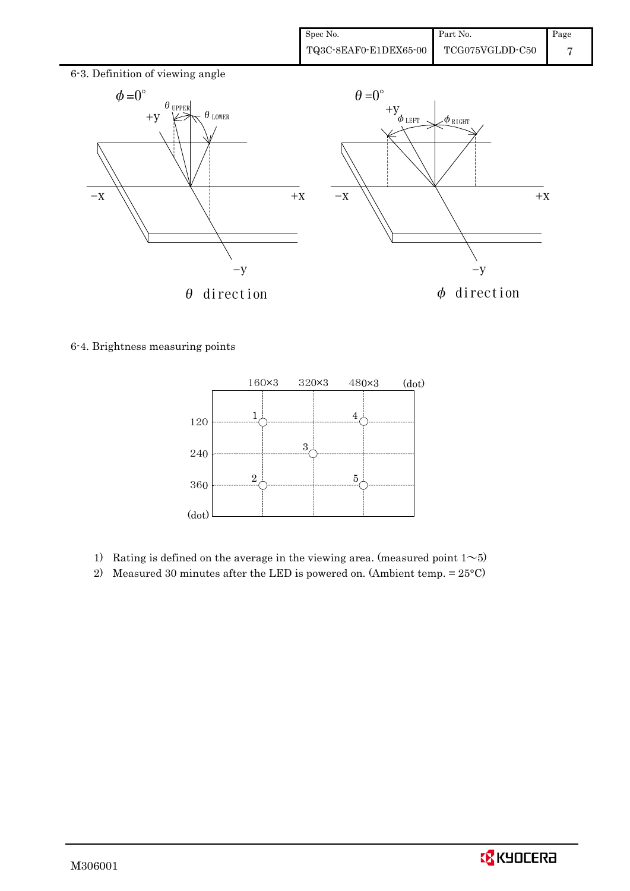

6-4. Brightness measuring points



- 1) Rating is defined on the average in the viewing area. (measured point  $1~$
- 2) Measured 30 minutes after the LED is powered on. (Ambient temp. = 25°C)

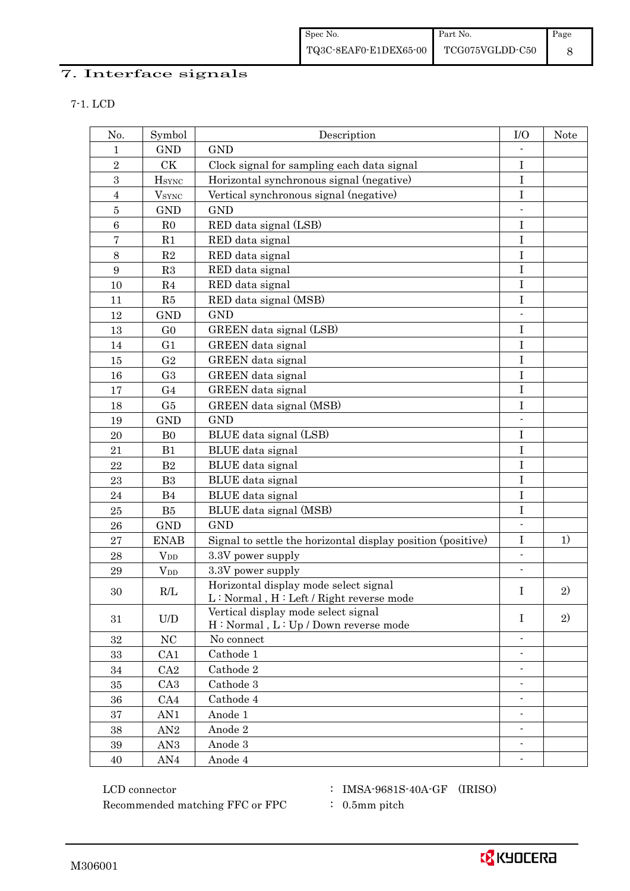## 7. Interface signals

| ı |  |  |  |  |  |
|---|--|--|--|--|--|
|---|--|--|--|--|--|

| No.              | Symbol                                                   | Description                                                                      | I/O                      | <b>Note</b> |
|------------------|----------------------------------------------------------|----------------------------------------------------------------------------------|--------------------------|-------------|
| 1                | <b>GND</b>                                               | <b>GND</b>                                                                       |                          |             |
| $\overline{2}$   | CK                                                       | Clock signal for sampling each data signal                                       | I                        |             |
| 3                | <b>H</b> sync                                            | Horizontal synchronous signal (negative)                                         | $\mathbf I$              |             |
| $\overline{4}$   | <b>V</b> <sub>SYNC</sub>                                 | Vertical synchronous signal (negative)                                           | $\mathbf I$              |             |
| $\bf 5$          | <b>GND</b>                                               | <b>GND</b>                                                                       |                          |             |
| 6                | R <sub>0</sub>                                           | RED data signal (LSB)                                                            | I                        |             |
| $\bf 7$          | R1                                                       | RED data signal                                                                  | I                        |             |
| 8                | R2                                                       | RED data signal                                                                  | $\rm I$                  |             |
| $\boldsymbol{9}$ | R3                                                       | RED data signal                                                                  | I                        |             |
| 10               | R <sub>4</sub>                                           | RED data signal                                                                  | I                        |             |
| 11               | R5                                                       | RED data signal (MSB)                                                            | $\mathbf I$              |             |
| 12               | <b>GND</b>                                               | <b>GND</b>                                                                       | $\blacksquare$           |             |
| 13               | G <sub>0</sub>                                           | GREEN data signal (LSB)                                                          | I                        |             |
| 14               | G1                                                       | GREEN data signal                                                                | $\rm I$                  |             |
| 15               | G <sub>2</sub>                                           | <b>GREEN</b> data signal                                                         | $\bf I$                  |             |
| 16               | G <sub>3</sub>                                           | GREEN data signal                                                                | $\mathbf I$              |             |
| 17               | G <sub>4</sub>                                           | GREEN data signal                                                                | $\mathbf I$              |             |
| 18               | G5                                                       | GREEN data signal (MSB)                                                          | I                        |             |
| 19               | <b>GND</b>                                               | <b>GND</b>                                                                       | $\overline{\phantom{a}}$ |             |
| 20               | B <sub>0</sub>                                           | BLUE data signal (LSB)                                                           | $\mathbf I$              |             |
| 21               | B1                                                       | BLUE data signal                                                                 | $\mathbf I$              |             |
| 22               | B <sub>2</sub>                                           | BLUE data signal                                                                 | $\mathbf I$              |             |
| 23               | B <sub>3</sub>                                           | BLUE data signal                                                                 | $\bf I$                  |             |
| 24               | B <sub>4</sub>                                           | BLUE data signal                                                                 | I                        |             |
| $25\,$           | B5                                                       | BLUE data signal (MSB)                                                           | $\rm I$                  |             |
| 26               | <b>GND</b>                                               | <b>GND</b>                                                                       |                          |             |
| 27               | <b>ENAB</b>                                              | Signal to settle the horizontal display position (positive)                      | $\bf I$                  | 1)          |
| 28               | $V_{DD}$                                                 | 3.3V power supply                                                                | $\overline{\phantom{a}}$ |             |
| 29               | $V_{DD}$                                                 | 3.3V power supply                                                                |                          |             |
| 30               | R/L                                                      | Horizontal display mode select signal<br>L: Normal, H: Left / Right reverse mode | I                        | 2)          |
| 31               | $\ensuremath{\mathrm{U}}\xspace/\ensuremath{\mathrm{D}}$ | Vertical display mode select signal<br>H: Normal, L: Up / Down reverse mode      | $\bf{I}$                 | 2)          |
| 32               | $\rm NC$                                                 | No connect                                                                       |                          |             |
| 33               | CA1                                                      | Cathode 1                                                                        | $\blacksquare$           |             |
| 34               | CA2                                                      | Cathode 2                                                                        | $\blacksquare$           |             |
| 35               | CA <sub>3</sub>                                          | Cathode 3                                                                        |                          |             |
| 36               | CA4                                                      | Cathode 4                                                                        |                          |             |
| 37               | AN1                                                      | Anode 1                                                                          | $\blacksquare$           |             |
| 38               | AN2                                                      | Anode 2                                                                          | $\overline{\phantom{a}}$ |             |
| 39               | AN <sub>3</sub>                                          | Anode 3                                                                          | $\overline{\phantom{a}}$ |             |
| $40\,$           | AN4                                                      | Anode 4                                                                          |                          |             |

 ${\rm LCD~connector} ~~:~{\rm IMSA\text{-}9681S\text{-}40A\text{-}GF}~~({\rm IRISO})$ Recommended matching FFC or FPC : 0.5mm pitch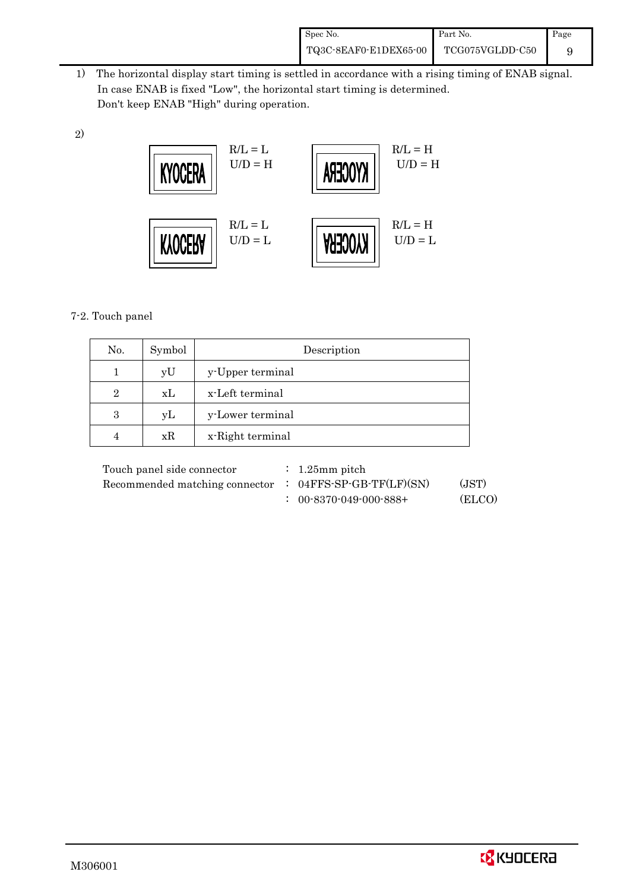| Spec No.              | Part No.        | Page |
|-----------------------|-----------------|------|
| TQ3C-8EAF0-E1DEX65-00 | TCG075VGLDD-C50 |      |

 1) The horizontal display start timing is settled in accordance with a rising timing of ENAB signal. In case ENAB is fixed "Low", the horizontal start timing is determined. Don't keep ENAB "High" during operation.



### 7-2. Touch panel

2)

| No.            | Symbol | Description      |
|----------------|--------|------------------|
|                | yU     | y-Upper terminal |
| $\overline{2}$ | xL     | x-Left terminal  |
| 3              | yL     | y-Lower terminal |
|                | xR     | x-Right terminal |

| Touch panel side connector     | $\therefore$ 1.25 mm pitch          |        |
|--------------------------------|-------------------------------------|--------|
| Recommended matching connector | $: 04FFS-SP-GB-TF(LF)(SN)$<br>(JST) |        |
|                                | $: 00-8370-049-000-888+$            | (ELCO) |

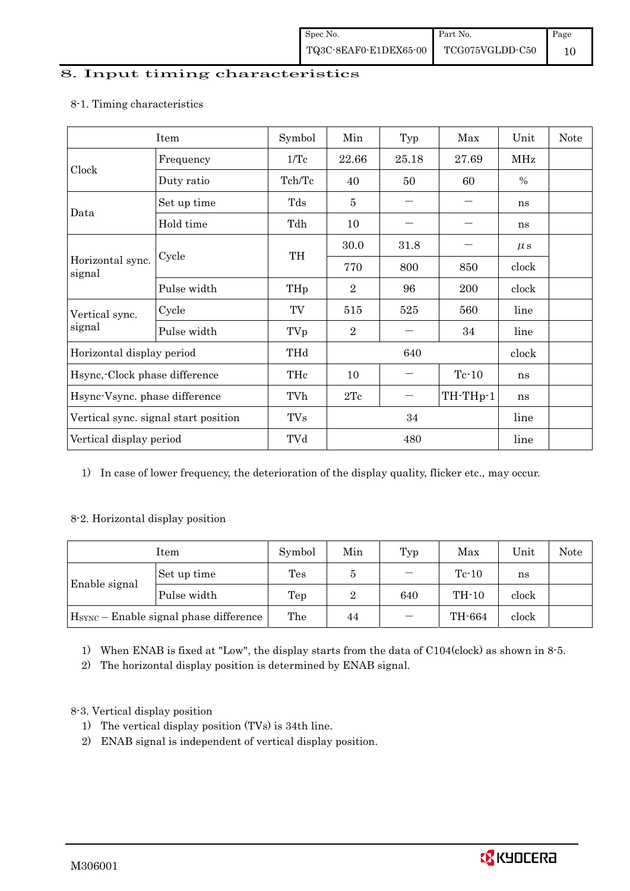## 8. Input timing characteristics

# Item Symbol Min Typ Max Unit Note Frequency  $1/Tc$   $22.66$   $25.18$   $27.69$  MHz Clock Duty ratio  $\vert$  Tch/Tc  $\vert$  40  $\vert$  50  $\vert$  60  $\vert$  % Set up time Tds 5 - - ns Data Hold time Tdh 10 - - ns  $30.0$   $31.8$   $\mu s$ Cycle TH Horizontal sync. Cycle TH 770 800 850 clock signal Pulse width  $THp \mid 2 \mid 96 \mid 200 \mid clock$ Cycle TV 515 525 560 line Vertical sync. signal Pulse width TVp 2 - 34 line Horizontal display period THd 640 640 clock Hsync,-Clock phase difference  $\vert$  THc  $\vert$  10  $\vert$  - Tc-10  $\vert$  ns Hsync-Vsync. phase difference  $\vert$  TVh  $\vert$  2Tc  $\vert$  - TH-THp-1 ns Vertical sync. signal start position  $\begin{array}{|c|c|c|c|c|c|c|c|c|} \hline \text{V} & \text{TVs} & 34 & & \text{line} \ \hline \end{array}$ Vertical display period  $\overline{V}$  TVd  $\overline{480}$  line

### 8-1. Timing characteristics

1) In case of lower frequency, the deterioration of the display quality, flicker etc., may occur.

### 8-2. Horizontal display position

| Item                                               |             | Symbol         | Min | Typ | Max     | Unit  | Note |
|----------------------------------------------------|-------------|----------------|-----|-----|---------|-------|------|
|                                                    | Set up time | $\mathrm{Tes}$ | đ   |     | $Tc-10$ | ns    |      |
| Enable signal                                      | Pulse width | Tep            | 2   | 640 | TH-10   | clock |      |
| H <sub>SYNC</sub> - Enable signal phase difference |             | The            | 44  |     | TH-664  | clock |      |

1) When ENAB is fixed at "Low", the display starts from the data of C104(clock) as shown in 8-5.

2) The horizontal display position is determined by ENAB signal.

### 8-3. Vertical display position

- 1) The vertical display position (TVs) is 34th line.
- 2) ENAB signal is independent of vertical display position.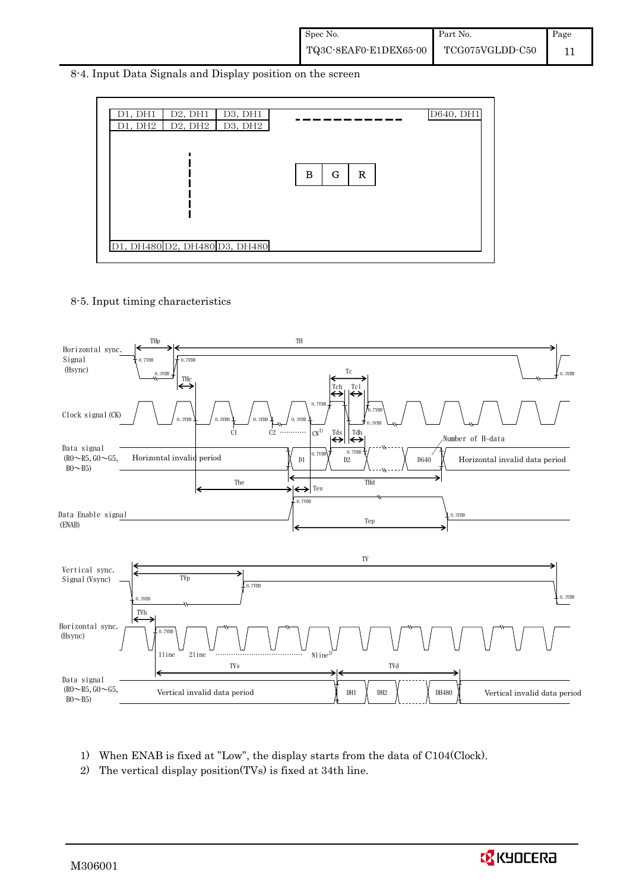8-4. Input Data Signals and Display position on the screen



### 8-5. Input timing characteristics



- 1) When ENAB is fixed at "Low", the display starts from the data of C104(Clock).
- 2) The vertical display position(TVs) is fixed at 34th line.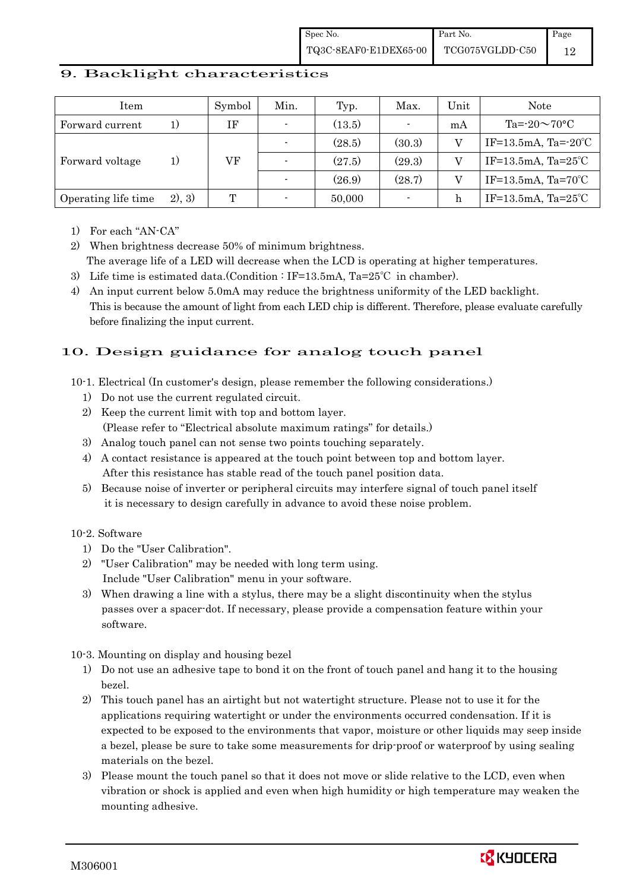### 9. Backlight characteristics

| Item                |         | Symbol | Min.                     | Typ.   | Max.           | Unit | <b>Note</b>                    |
|---------------------|---------|--------|--------------------------|--------|----------------|------|--------------------------------|
| Forward current     |         | IF     | $\overline{\phantom{0}}$ | (13.5) | $\blacksquare$ | mA   | $Ta = 20 \sim 70$ °C           |
| Forward voltage     | 1)      |        |                          | (28.5) | (30.3)         |      | IF=13.5mA, Ta= $-20^{\circ}$ C |
|                     |         | VF     |                          | (27.5) | (29.3)         |      | IF=13.5mA, Ta= $25^{\circ}$ C  |
|                     |         |        |                          | (26.9) | (28.7)         |      | IF=13.5mA, Ta= $70^{\circ}$ C  |
| Operating life time | (2), 3) | T      |                          | 50,000 | $\blacksquare$ | h    | IF=13.5mA, Ta= $25^{\circ}$ C  |

1) For each "AN-CA"

2) When brightness decrease 50% of minimum brightness. The average life of a LED will decrease when the LCD is operating at higher temperatures.

- 3) Life time is estimated data.(Condition : IF=13.5mA, Ta=25℃ in chamber).
- 4) An input current below 5.0mA may reduce the brightness uniformity of the LED backlight. This is because the amount of light from each LED chip is different. Therefore, please evaluate carefully before finalizing the input current.

## 10. Design guidance for analog touch panel

10-1. Electrical (In customer's design, please remember the following considerations.)

- 1) Do not use the current regulated circuit.
- 2) Keep the current limit with top and bottom layer. (Please refer to "Electrical absolute maximum ratings" for details.)
- 3) Analog touch panel can not sense two points touching separately.
- 4) A contact resistance is appeared at the touch point between top and bottom layer. After this resistance has stable read of the touch panel position data.
- 5) Because noise of inverter or peripheral circuits may interfere signal of touch panel itself it is necessary to design carefully in advance to avoid these noise problem.

### 10-2. Software

- 1) Do the "User Calibration".
- 2) "User Calibration" may be needed with long term using. Include "User Calibration" menu in your software.
- 3) When drawing a line with a stylus, there may be a slight discontinuity when the stylus passes over a spacer-dot. If necessary, please provide a compensation feature within your software.

10-3. Mounting on display and housing bezel

- 1) Do not use an adhesive tape to bond it on the front of touch panel and hang it to the housing bezel.
- 2) This touch panel has an airtight but not watertight structure. Please not to use it for the applications requiring watertight or under the environments occurred condensation. If it is expected to be exposed to the environments that vapor, moisture or other liquids may seep inside a bezel, please be sure to take some measurements for drip-proof or waterproof by using sealing materials on the bezel.
- 3) Please mount the touch panel so that it does not move or slide relative to the LCD, even when vibration or shock is applied and even when high humidity or high temperature may weaken the mounting adhesive.

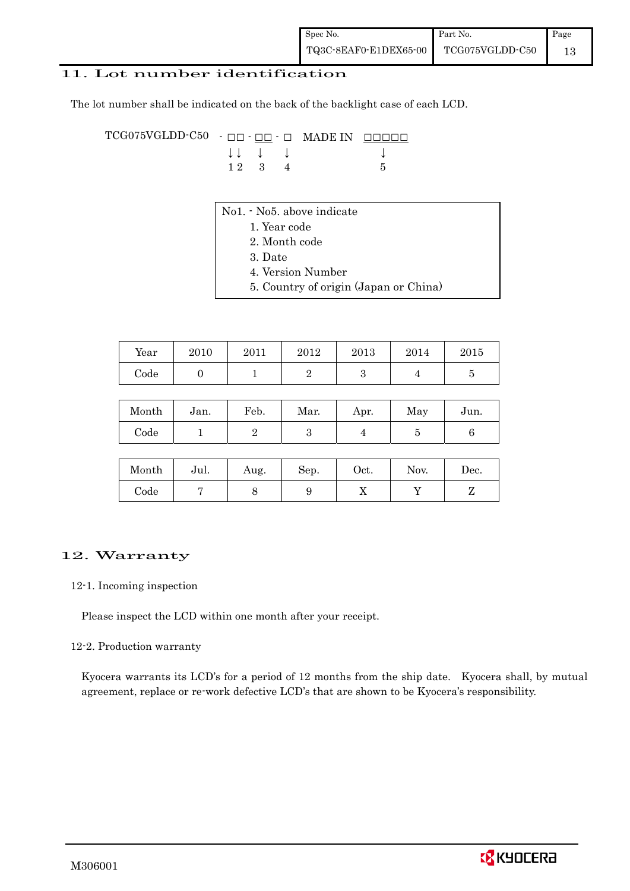### 11. Lot number identification

The lot number shall be indicated on the back of the backlight case of each LCD.

TCG075VGLDD-C50 - ŌŌ - ŌŌ - Ō MADE IN ŌŌŌŌŌ  $\downarrow \downarrow \quad \downarrow \quad \downarrow \qquad \qquad \downarrow$  $1 \ 2 \ 3 \ 4$  5

- No1. No5. above indicate
	- 1. Year code
		- 2. Month code
		- 3. Date
		- 4. Version Number
	- 5. Country of origin (Japan or China)

| Year       | 2010 | 2011 | 2012 | 2013 | 2014 | 2015 |
|------------|------|------|------|------|------|------|
| $\rm Code$ |      |      |      |      |      |      |

| Month | Jan. | Feb. | Mar. | Apr. | May | Jun. |
|-------|------|------|------|------|-----|------|
| Code  |      |      |      |      |     |      |

| Month      | Jul. | Aug. | Sep. | Oct. | Nov. | $\operatorname{Dec.}$ |
|------------|------|------|------|------|------|-----------------------|
| $\rm Code$ |      |      |      | ∡⊾   |      |                       |

### 12. Warranty

#### 12-1. Incoming inspection

Please inspect the LCD within one month after your receipt.

#### 12-2. Production warranty

 Kyocera warrants its LCD's for a period of 12 months from the ship date. Kyocera shall, by mutual agreement, replace or re-work defective LCD's that are shown to be Kyocera's responsibility.

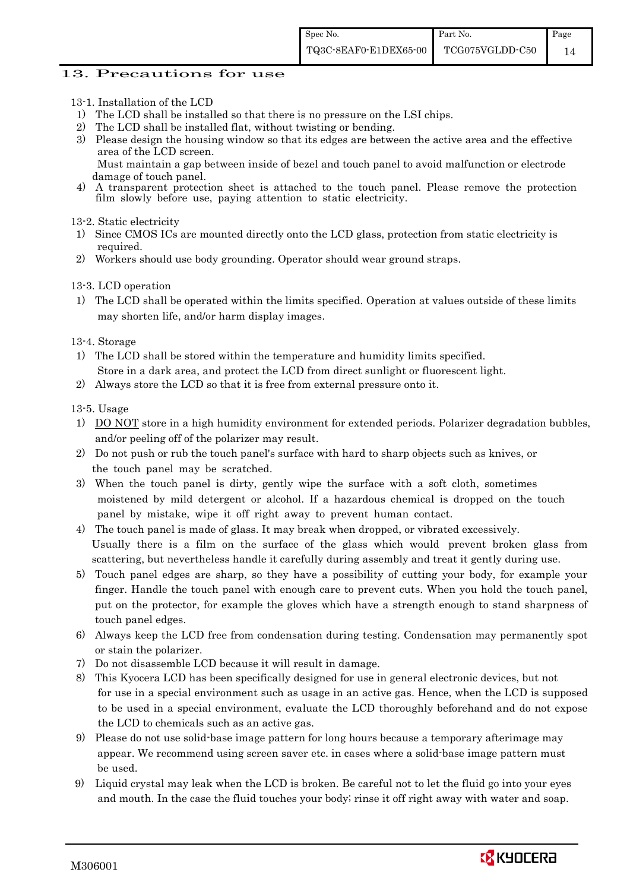### 13. Precautions for use

- 13-1. Installation of the LCD
- 1) The LCD shall be installed so that there is no pressure on the LSI chips.
- 2) The LCD shall be installed flat, without twisting or bending.
- 3) Please design the housing window so that its edges are between the active area and the effective area of the LCD screen.

Must maintain a gap between inside of bezel and touch panel to avoid malfunction or electrode damage of touch panel.

4) A transparent protection sheet is attached to the touch panel. Please remove the protection film slowly before use, paying attention to static electricity.

13-2. Static electricity

- 1) Since CMOS ICs are mounted directly onto the LCD glass, protection from static electricity is required.
- 2) Workers should use body grounding. Operator should wear ground straps.

13-3. LCD operation

1) The LCD shall be operated within the limits specified. Operation at values outside of these limits may shorten life, and/or harm display images.

13-4. Storage

- 1) The LCD shall be stored within the temperature and humidity limits specified. Store in a dark area, and protect the LCD from direct sunlight or fluorescent light.
- 2) Always store the LCD so that it is free from external pressure onto it.

13-5. Usage

- 1) DO NOT store in a high humidity environment for extended periods. Polarizer degradation bubbles, and/or peeling off of the polarizer may result.
- 2) Do not push or rub the touch panel's surface with hard to sharp objects such as knives, or the touch panel may be scratched.
- 3) When the touch panel is dirty, gently wipe the surface with a soft cloth, sometimes moistened by mild detergent or alcohol. If a hazardous chemical is dropped on the touch panel by mistake, wipe it off right away to prevent human contact.
- 4) The touch panel is made of glass. It may break when dropped, or vibrated excessively. Usually there is a film on the surface of the glass which would prevent broken glass from scattering, but nevertheless handle it carefully during assembly and treat it gently during use.
- 5) Touch panel edges are sharp, so they have a possibility of cutting your body, for example your finger. Handle the touch panel with enough care to prevent cuts. When you hold the touch panel, put on the protector, for example the gloves which have a strength enough to stand sharpness of touch panel edges.
- 6) Always keep the LCD free from condensation during testing. Condensation may permanently spot or stain the polarizer.
- 7) Do not disassemble LCD because it will result in damage.
- 8) This Kyocera LCD has been specifically designed for use in general electronic devices, but not for use in a special environment such as usage in an active gas. Hence, when the LCD is supposed to be used in a special environment, evaluate the LCD thoroughly beforehand and do not expose the LCD to chemicals such as an active gas.
- 9) Please do not use solid-base image pattern for long hours because a temporary afterimage may appear. We recommend using screen saver etc. in cases where a solid-base image pattern must be used.
- 9) Liquid crystal may leak when the LCD is broken. Be careful not to let the fluid go into your eyes and mouth. In the case the fluid touches your body; rinse it off right away with water and soap.

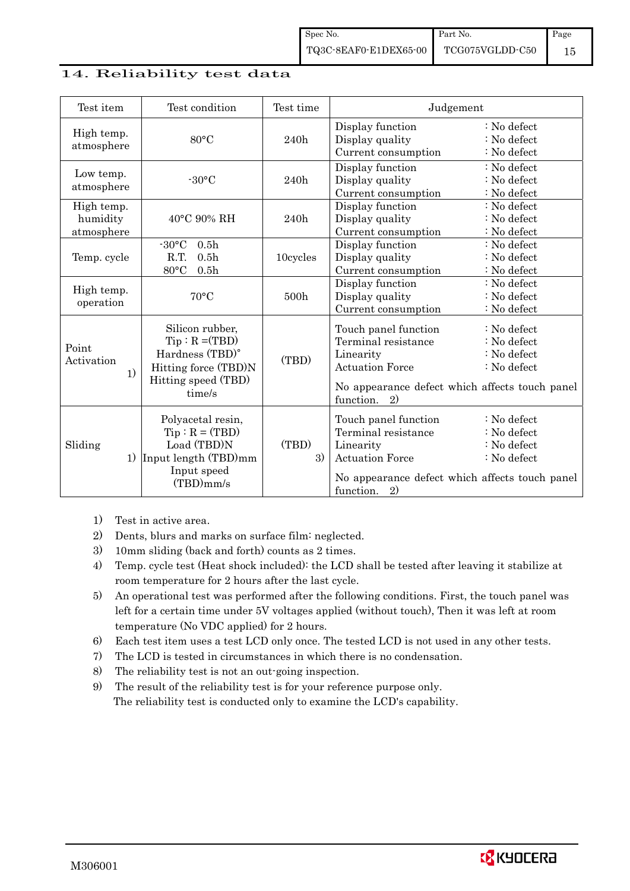### 14. Reliability test data

| Test item                            | Test condition                                                                                                  | Test time   | Judgement                                                                                                                                               |                                                                     |  |
|--------------------------------------|-----------------------------------------------------------------------------------------------------------------|-------------|---------------------------------------------------------------------------------------------------------------------------------------------------------|---------------------------------------------------------------------|--|
| High temp.<br>atmosphere             | $80^{\circ}$ C                                                                                                  | 240h        | Display function<br>Display quality<br>Current consumption                                                                                              | : No defect<br>: No defect<br>: No defect                           |  |
| Low temp.<br>atmosphere              | $-30^{\circ}$ C                                                                                                 | 240h        | Display function<br>Display quality<br>Current consumption                                                                                              | : No defect<br>: No defect<br>: No defect                           |  |
| High temp.<br>humidity<br>atmosphere | $40^{\circ}$ C 90% RH                                                                                           | 240h        | Display function<br>Display quality<br>Current consumption                                                                                              | : No defect<br>: No defect<br>: No defect                           |  |
| Temp. cycle                          | $-30$ °C<br>0.5 <sub>h</sub><br>R.T.<br>0.5 <sub>h</sub><br>80°C<br>0.5 <sub>h</sub>                            | 10cycles    | Display function<br>Display quality<br>Current consumption                                                                                              | : No defect<br>: No defect<br>: No defect                           |  |
| High temp.<br>operation              | 70°C                                                                                                            | 500h        | Display function<br>Display quality<br>Current consumption                                                                                              | $: No$ defect<br>: No defect<br>: No defect                         |  |
| Point<br>Activation<br>1)            | Silicon rubber,<br>$Tip: R = (TBD)$<br>Hardness (TBD)°<br>Hitting force (TBD)N<br>Hitting speed (TBD)<br>time/s | (TBD)       | Touch panel function<br>Terminal resistance<br>Linearity<br><b>Actuation Force</b><br>No appearance defect which affects touch panel<br>function.<br>2) | : No defect<br>: No defect<br>: No defect<br>$\therefore$ No defect |  |
| Sliding<br>1)                        | Polyacetal resin,<br>$Tip : R = (TBD)$<br>Load (TBD)N<br>Input length (TBD)mm<br>Input speed<br>$(TBD)$ mm/s    | (TBD)<br>3) | Touch panel function<br>Terminal resistance<br>Linearity<br><b>Actuation Force</b><br>No appearance defect which affects touch panel<br>function.<br>2) | : No defect<br>: No defect<br>: No defect<br>: No defect            |  |

1) Test in active area.

- 2) Dents, blurs and marks on surface film: neglected.
- 3) 10mm sliding (back and forth) counts as 2 times.
- 4) Temp. cycle test (Heat shock included): the LCD shall be tested after leaving it stabilize at room temperature for 2 hours after the last cycle.
- 5) An operational test was performed after the following conditions. First, the touch panel was left for a certain time under 5V voltages applied (without touch), Then it was left at room temperature (No VDC applied) for 2 hours.
- 6) Each test item uses a test LCD only once. The tested LCD is not used in any other tests.
- 7) The LCD is tested in circumstances in which there is no condensation.
- 8) The reliability test is not an out-going inspection.
- 9) The result of the reliability test is for your reference purpose only. The reliability test is conducted only to examine the LCD's capability.

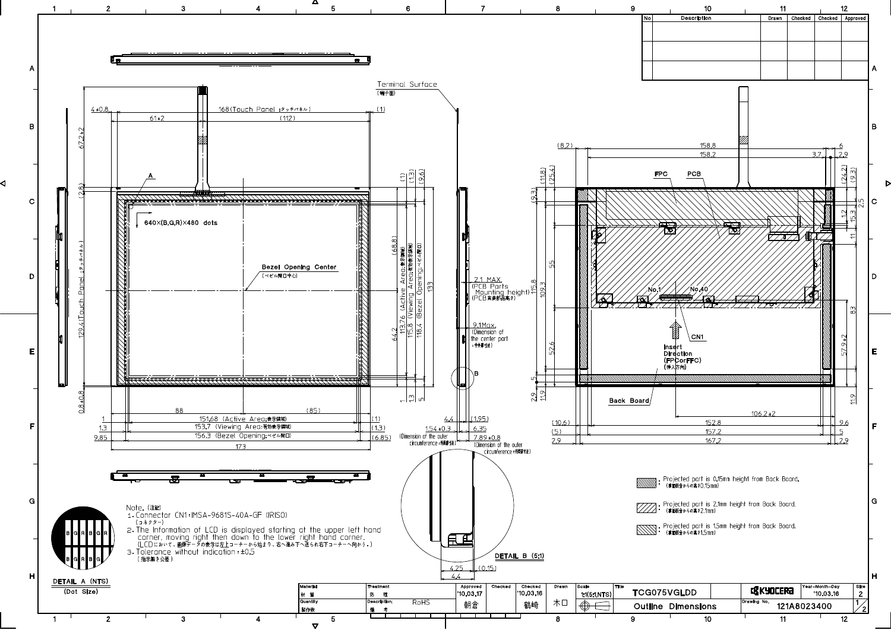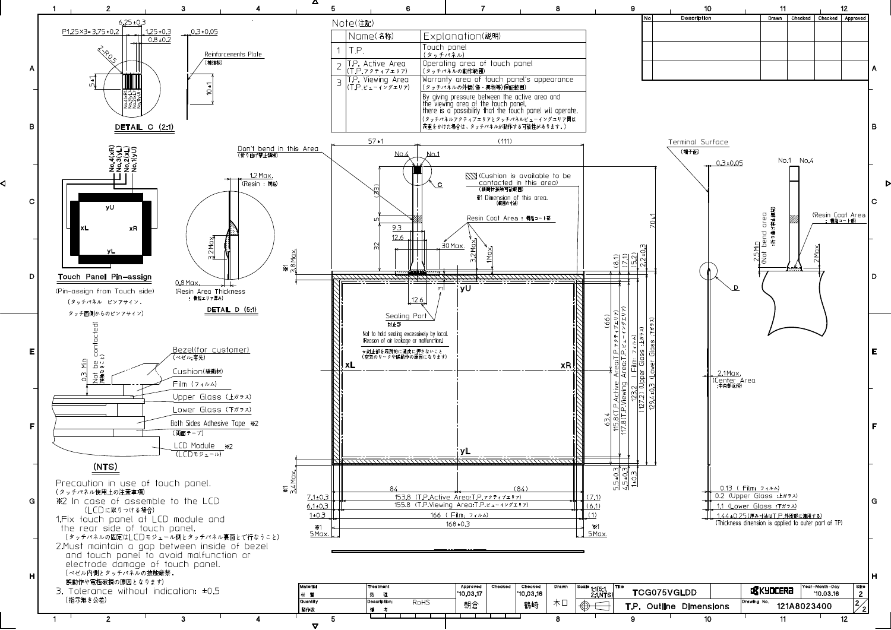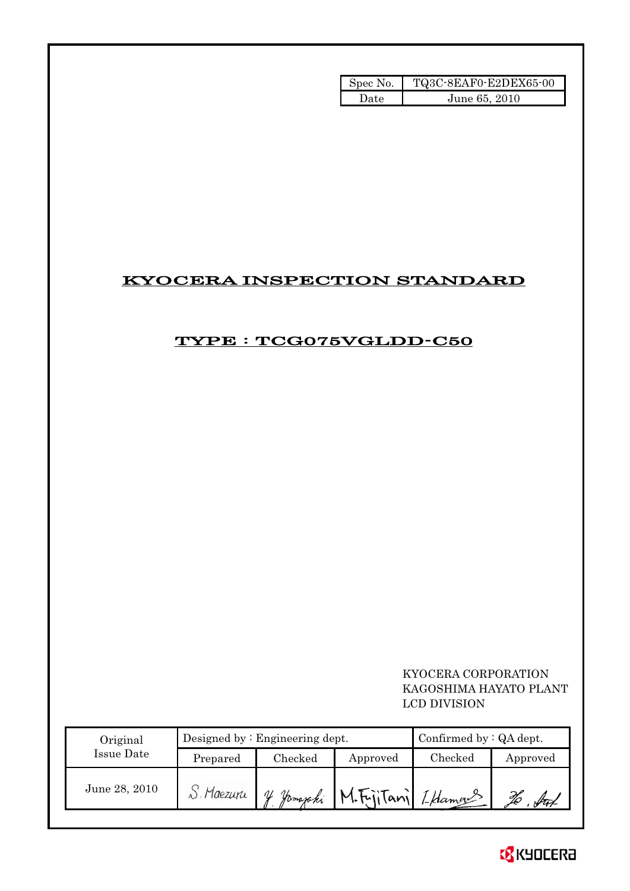| Spec No. | TQ3C-8EAF0-E2DEX65-00 |
|----------|-----------------------|
| Date     | June 65, 2010         |

# KYOCERA INSPECTION STANDARD

# TYPE : TCG075VGLDD-C50

 KYOCERA CORPORATION KAGOSHIMA HAYATO PLANT LCD DIVISION

| Original      |              | Designed by $:$ Engineering dept. | Confirmed by $:QA$ dept.                 |         |          |
|---------------|--------------|-----------------------------------|------------------------------------------|---------|----------|
| Issue Date    | Prepared     | Checked                           | Approved                                 | Checked | Approved |
| June 28, 2010 | $S.$ Maezuru | nL                                | Jamazaki M.Fujitani Iklaman <sup>2</sup> |         |          |

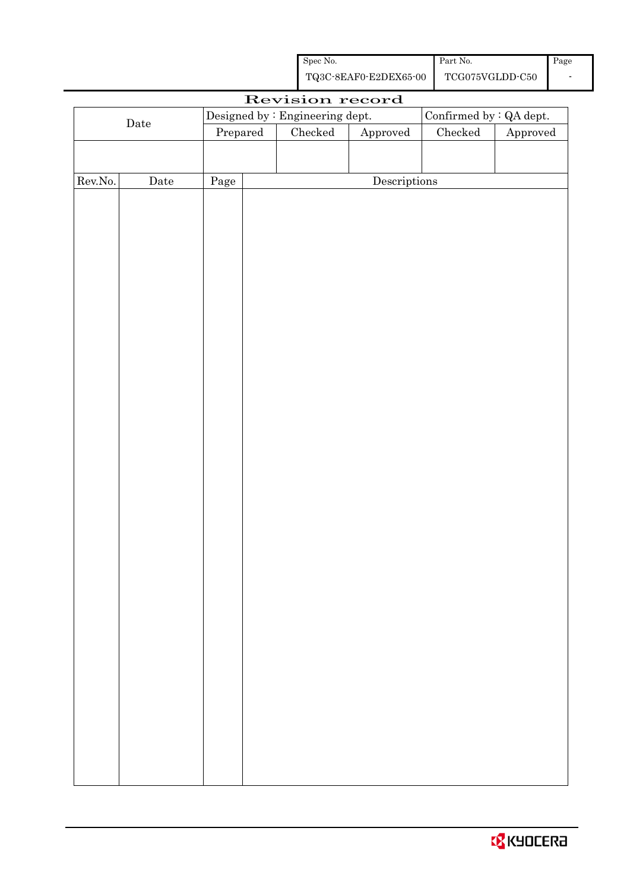| Spec No.              | Part No.        | Page |
|-----------------------|-----------------|------|
| TQ3C-8EAF0-E2DEX65-00 | TCG075VGLDD-C50 |      |

|         |             |          | Revision record                 |                        |                          |          |
|---------|-------------|----------|---------------------------------|------------------------|--------------------------|----------|
|         |             |          | Designed by : Engineering dept. |                        | Confirmed by $:QA$ dept. |          |
|         | $\rm{Date}$ | Prepared | Checked                         | ${\Large\bf Approved}$ | $\rm Checked$            | Approved |
|         |             |          |                                 |                        |                          |          |
|         |             |          |                                 |                        |                          |          |
| Rev.No. | $\rm{Date}$ | Page     |                                 | Descriptions           |                          |          |
|         |             |          |                                 |                        |                          |          |
|         |             |          |                                 |                        |                          |          |
|         |             |          |                                 |                        |                          |          |
|         |             |          |                                 |                        |                          |          |
|         |             |          |                                 |                        |                          |          |
|         |             |          |                                 |                        |                          |          |
|         |             |          |                                 |                        |                          |          |
|         |             |          |                                 |                        |                          |          |
|         |             |          |                                 |                        |                          |          |
|         |             |          |                                 |                        |                          |          |
|         |             |          |                                 |                        |                          |          |
|         |             |          |                                 |                        |                          |          |
|         |             |          |                                 |                        |                          |          |
|         |             |          |                                 |                        |                          |          |
|         |             |          |                                 |                        |                          |          |
|         |             |          |                                 |                        |                          |          |
|         |             |          |                                 |                        |                          |          |
|         |             |          |                                 |                        |                          |          |
|         |             |          |                                 |                        |                          |          |
|         |             |          |                                 |                        |                          |          |
|         |             |          |                                 |                        |                          |          |
|         |             |          |                                 |                        |                          |          |
|         |             |          |                                 |                        |                          |          |
|         |             |          |                                 |                        |                          |          |
|         |             |          |                                 |                        |                          |          |
|         |             |          |                                 |                        |                          |          |
|         |             |          |                                 |                        |                          |          |
|         |             |          |                                 |                        |                          |          |
|         |             |          |                                 |                        |                          |          |
|         |             |          |                                 |                        |                          |          |
|         |             |          |                                 |                        |                          |          |
|         |             |          |                                 |                        |                          |          |
|         |             |          |                                 |                        |                          |          |
|         |             |          |                                 |                        |                          |          |
|         |             |          |                                 |                        |                          |          |
|         |             |          |                                 |                        |                          |          |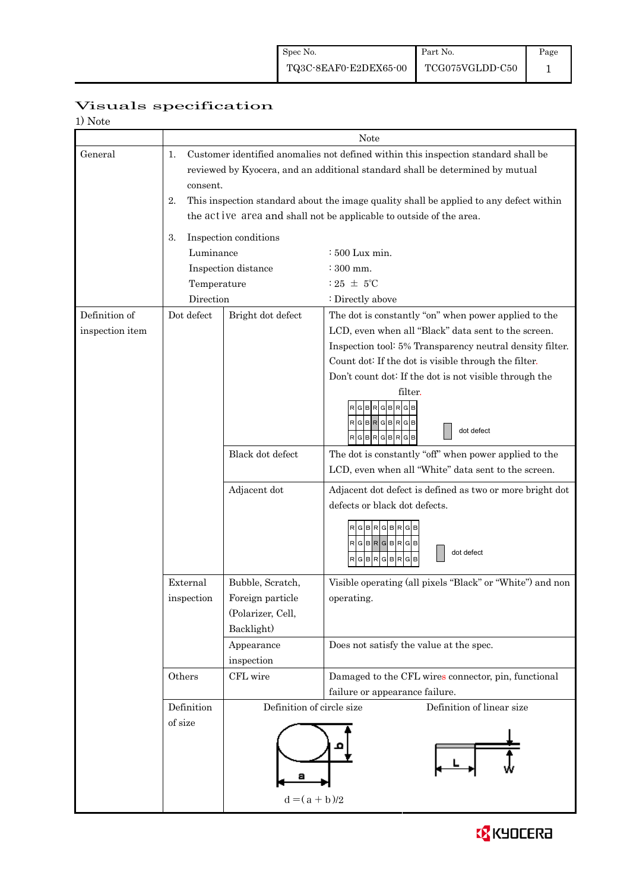| 1) Note         |             |                           |                                                                                        |
|-----------------|-------------|---------------------------|----------------------------------------------------------------------------------------|
|                 |             |                           | Note                                                                                   |
| General         | 1.          |                           | Customer identified anomalies not defined within this inspection standard shall be     |
|                 |             |                           | reviewed by Kyocera, and an additional standard shall be determined by mutual          |
|                 | consent.    |                           |                                                                                        |
|                 | 2.          |                           | This inspection standard about the image quality shall be applied to any defect within |
|                 |             |                           | the act ive area and shall not be applicable to outside of the area.                   |
|                 | 3.          | Inspection conditions     |                                                                                        |
|                 | Luminance   |                           | : 500 Lux min.                                                                         |
|                 |             | Inspection distance       | $\div$ 300 mm.                                                                         |
|                 | Temperature |                           | : 25 $\pm$ 5°C                                                                         |
|                 | Direction   |                           | : Directly above                                                                       |
| Definition of   | Dot defect  | Bright dot defect         | The dot is constantly "on" when power applied to the                                   |
| inspection item |             |                           | LCD, even when all "Black" data sent to the screen.                                    |
|                 |             |                           | Inspection tool: 5% Transparency neutral density filter.                               |
|                 |             |                           | Count dot: If the dot is visible through the filter.                                   |
|                 |             |                           | Don't count dot: If the dot is not visible through the                                 |
|                 |             |                           | filter.                                                                                |
|                 |             |                           | в<br>R<br>в<br>G                                                                       |
|                 |             |                           | RGBRGBRGB<br>dot defect                                                                |
|                 |             |                           | $R$ G $B$ R $G$ B $R$ G $B$                                                            |
|                 |             | Black dot defect          | The dot is constantly "off" when power applied to the                                  |
|                 |             |                           | LCD, even when all "White" data sent to the screen.                                    |
|                 |             | Adjacent dot              | Adjacent dot defect is defined as two or more bright dot                               |
|                 |             |                           | defects or black dot defects.                                                          |
|                 |             |                           |                                                                                        |
|                 |             |                           | RGBRGBRG                                                                               |
|                 |             |                           | RGBRGBRGB<br>dot defect                                                                |
|                 |             |                           | RGBRGBR<br>G                                                                           |
|                 | External    | Bubble, Scratch,          | Visible operating (all pixels "Black" or "White") and non                              |
|                 | inspection  | Foreign particle          | operating.                                                                             |
|                 |             | (Polarizer, Cell,         |                                                                                        |
|                 |             | Backlight)                |                                                                                        |
|                 |             | Appearance                | Does not satisfy the value at the spec.                                                |
|                 |             | inspection                |                                                                                        |
|                 | Others      | CFL wire                  | Damaged to the CFL wires connector, pin, functional                                    |
|                 |             |                           | failure or appearance failure.                                                         |
|                 | Definition  | Definition of circle size | Definition of linear size                                                              |
|                 | of size     |                           |                                                                                        |
|                 |             |                           |                                                                                        |
|                 |             |                           |                                                                                        |
|                 |             |                           |                                                                                        |
|                 |             |                           |                                                                                        |
|                 |             | $d = (a + b)/2$           |                                                                                        |

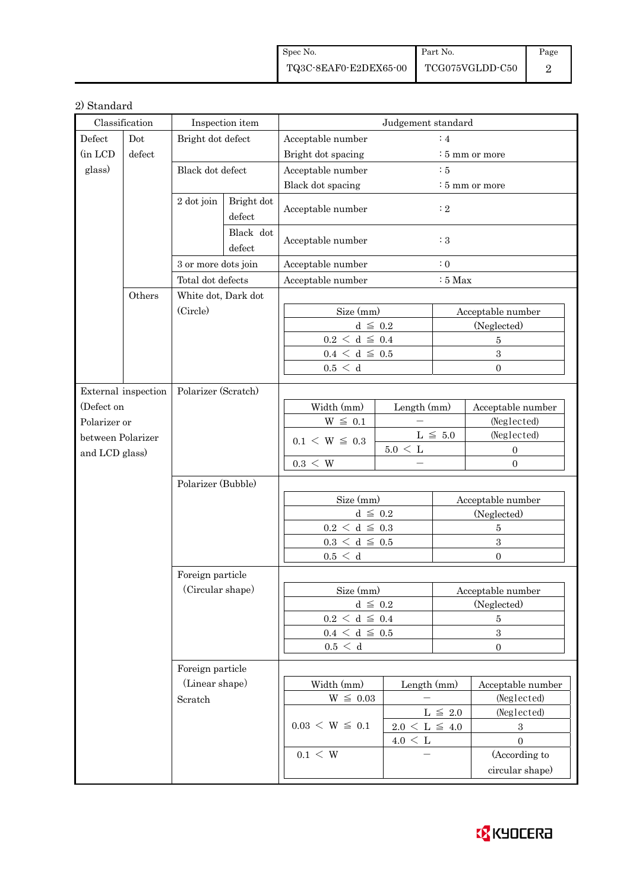| Spec No.              | <b>Part No.</b> | Page |
|-----------------------|-----------------|------|
| TQ3C-8EAF0-E2DEX65-00 | TCG075VGLDD-C50 |      |

### 2) Standard

|                   | Classification      |                     | Inspection item      |                                 | Judgement standard  |                |                            |
|-------------------|---------------------|---------------------|----------------------|---------------------------------|---------------------|----------------|----------------------------|
| Defect            | Dot                 | Bright dot defect   |                      | Acceptable number               |                     | :4             |                            |
| (in LCD           | defect              |                     |                      | Bright dot spacing              |                     |                | : 5 mm or more             |
| glass)            |                     | Black dot defect    |                      | Acceptable number               |                     | $\therefore$ 5 |                            |
|                   |                     |                     |                      | Black dot spacing               |                     |                | $\frac{1}{2}$ 5 mm or more |
|                   |                     | 2 dot join          | Bright dot<br>defect | Acceptable number               |                     | $\colon 2$     |                            |
|                   |                     |                     | Black dot<br>defect  | Acceptable number               |                     | $\colon 3$     |                            |
|                   |                     | 3 or more dots join |                      | Acceptable number               |                     | $\colon 0$     |                            |
|                   |                     | Total dot defects   |                      | Acceptable number               |                     | $:5$ Max       |                            |
|                   | Others              | White dot, Dark dot |                      |                                 |                     |                |                            |
|                   |                     | (Circle)            |                      | Size (mm)                       |                     |                | Acceptable number          |
|                   |                     |                     |                      | $d \leq 0.2$                    |                     |                | (Neglected)                |
|                   |                     |                     |                      | $0.2\,<\,\mathrm{d}\,\leq\,0.4$ |                     |                | $\overline{5}$             |
|                   |                     |                     |                      | $0.4 \leq d \leq 0.5$           |                     |                | $\sqrt{3}$                 |
|                   |                     |                     |                      | 0.5 < d                         |                     |                | $\Omega$                   |
|                   | External inspection | Polarizer (Scratch) |                      |                                 |                     |                |                            |
| (Defect on        |                     |                     |                      | Width (mm)                      | Length (mm)         |                | Acceptable number          |
| Polarizer or      |                     |                     |                      | $W \leq 0.1$                    |                     |                | (Neglected)                |
| between Polarizer |                     |                     |                      |                                 |                     | L $\leq 5.0$   | (Neglected)                |
| and LCD glass)    |                     |                     |                      | $0.1 \le W \le 0.3$             | $5.0 \leq L$        |                | $\mathbf{0}$               |
|                   |                     |                     |                      | $0.3 \leq W$                    |                     |                | $\overline{0}$             |
|                   |                     | Polarizer (Bubble)  |                      |                                 |                     |                |                            |
|                   |                     |                     |                      | Size (mm)                       |                     |                | Acceptable number          |
|                   |                     |                     |                      | $d \leq 0.2$                    |                     |                | (Neglected)                |
|                   |                     |                     |                      | $0.2\,<\,\mathrm{d}\,\leq\,0.3$ |                     |                | $\overline{5}$             |
|                   |                     |                     |                      | $0.3\,<\,\mathrm{d}\,\leq\,0.5$ |                     |                | $\,3\,$                    |
|                   |                     |                     |                      | 0.5 < d                         |                     |                | $\Omega$                   |
|                   |                     | Foreign particle    |                      |                                 |                     |                |                            |
|                   |                     | (Circular shape)    |                      | Size (mm)                       |                     |                | Acceptable number          |
|                   |                     |                     |                      | $d~\leq~0.2$                    |                     |                | (Neglected)                |
|                   |                     |                     |                      | $0.2\,<\,\mathrm{d}\,\leq\,0.4$ |                     |                | $\bf 5$                    |
|                   |                     |                     |                      | $0.4~\leq~\mathrm{d}~\leq~0.5$  |                     |                | $\boldsymbol{3}$           |
|                   |                     |                     |                      | $0.5\,<\,$ d                    |                     |                | $\overline{0}$             |
|                   |                     | Foreign particle    |                      |                                 |                     |                |                            |
|                   |                     | (Linear shape)      |                      | Width (mm)                      | Length (mm)         |                | Acceptable number          |
|                   |                     | Scratch             |                      | $W \leq 0.03$                   |                     |                | (Neglected)                |
|                   |                     |                     |                      |                                 |                     | L $\leq$ 2.0   | (Neglected)                |
|                   |                     |                     |                      | $0.03 \le W \le 0.1$            | $2.0 \le L \le 4.0$ |                | $\,3$                      |
|                   |                     |                     |                      |                                 | $4.0 \leq L$        |                | $\boldsymbol{0}$           |
|                   |                     |                     |                      | $0.1 \leq W$                    |                     |                | (According to              |
|                   |                     |                     |                      |                                 |                     |                | circular shape)            |